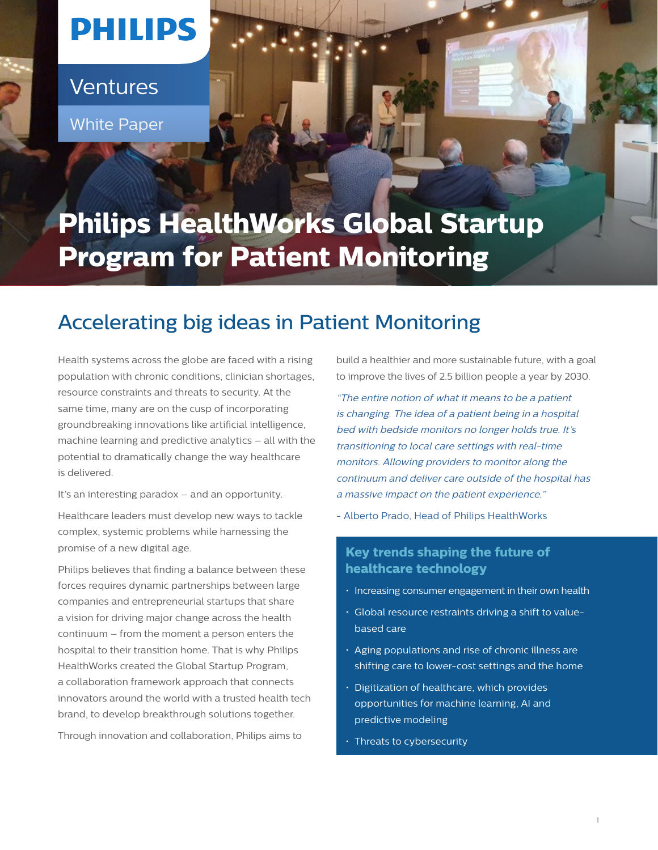# **PHILIPS**

Ventures

**White Paper** 

# **Philips HealthWorks Global Startup Program for Patient Monitoring**

# Accelerating big ideas in Patient Monitoring

Health systems across the globe are faced with a rising population with chronic conditions, clinician shortages, resource constraints and threats to security. At the same time, many are on the cusp of incorporating groundbreaking innovations like artificial intelligence, machine learning and predictive analytics – all with the potential to dramatically change the way healthcare is delivered.

It's an interesting paradox – and an opportunity.

Healthcare leaders must develop new ways to tackle complex, systemic problems while harnessing the promise of a new digital age.

Philips believes that finding a balance between these forces requires dynamic partnerships between large companies and entrepreneurial startups that share a vision for driving major change across the health continuum – from the moment a person enters the hospital to their transition home. That is why Philips HealthWorks created the Global Startup Program, a collaboration framework approach that connects innovators around the world with a trusted health tech brand, to develop breakthrough solutions together.

Through innovation and collaboration, Philips aims to

build a healthier and more sustainable future, with a goal to improve the lives of 2.5 billion people a year by 2030.

"The entire notion of what it means to be a patient is changing. The idea of a patient being in a hospital bed with bedside monitors no longer holds true. It's transitioning to local care settings with real-time monitors. Allowing providers to monitor along the continuum and deliver care outside of the hospital has a massive impact on the patient experience."

- Alberto Prado, Head of Philips HealthWorks

# **Key trends shaping the future of healthcare technology**

- Increasing consumer engagement in their own health
- Global resource restraints driving a shift to valuebased care
- Aging populations and rise of chronic illness are shifting care to lower-cost settings and the home
- Digitization of healthcare, which provides opportunities for machine learning, AI and predictive modeling
- Threats to cybersecurity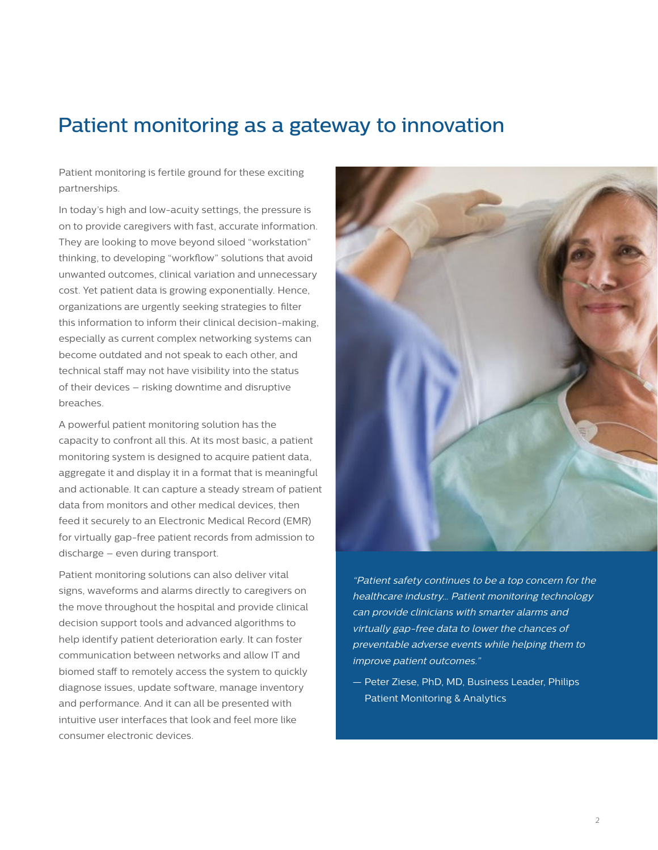# Patient monitoring as a gateway to innovation

Patient monitoring is fertile ground for these exciting partnerships.

In today's high and low-acuity settings, the pressure is on to provide caregivers with fast, accurate information. They are looking to move beyond siloed "workstation" thinking, to developing "workflow" solutions that avoid unwanted outcomes, clinical variation and unnecessary cost. Yet patient data is growing exponentially. Hence, organizations are urgently seeking strategies to filter this information to inform their clinical decision-making, especially as current complex networking systems can become outdated and not speak to each other, and technical staff may not have visibility into the status of their devices – risking downtime and disruptive breaches.

A powerful patient monitoring solution has the capacity to confront all this. At its most basic, a patient monitoring system is designed to acquire patient data, aggregate it and display it in a format that is meaningful and actionable. It can capture a steady stream of patient data from monitors and other medical devices, then feed it securely to an Electronic Medical Record (EMR) for virtually gap-free patient records from admission to discharge – even during transport.

Patient monitoring solutions can also deliver vital signs, waveforms and alarms directly to caregivers on the move throughout the hospital and provide clinical decision support tools and advanced algorithms to help identify patient deterioration early. It can foster communication between networks and allow IT and biomed staff to remotely access the system to quickly diagnose issues, update software, manage inventory and performance. And it can all be presented with intuitive user interfaces that look and feel more like consumer electronic devices.



"Patient safety continues to be a top concern for the healthcare industry… Patient monitoring technology can provide clinicians with smarter alarms and virtually gap-free data to lower the chances of preventable adverse events while helping them to improve patient outcomes."

— Peter Ziese, PhD, MD, Business Leader, Philips Patient Monitoring & Analytics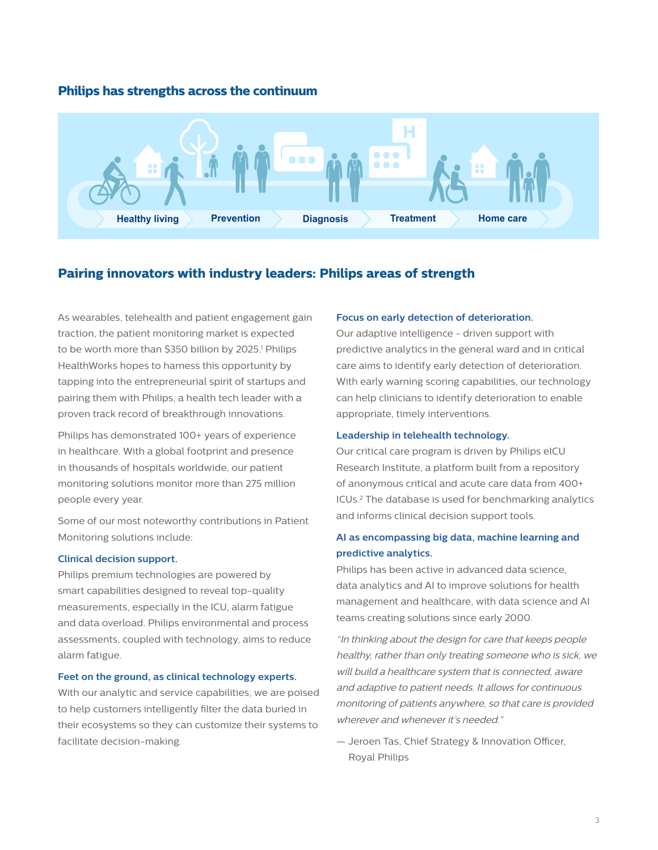## **Philips has strengths across the continuum**



### **Pairing innovators with industry leaders: Philips areas of strength**

As wearables, telehealth and patient engagement gain traction, the patient monitoring market is expected to be worth more than \$350 billion by 2025.<sup>1</sup> Philips HealthWorks hopes to harness this opportunity by tapping into the entrepreneurial spirit of startups and pairing them with Philips, a health tech leader with a proven track record of breakthrough innovations.

Philips has demonstrated 100+ years of experience in healthcare. With a global footprint and presence in thousands of hospitals worldwide, our patient monitoring solutions monitor more than 275 million people every year.

Some of our most noteworthy contributions in Patient Monitoring solutions include:

#### **Clinical decision support.**

Philips premium technologies are powered by smart capabilities designed to reveal top-quality measurements, especially in the ICU, alarm fatigue and data overload. Philips environmental and process assessments, coupled with technology, aims to reduce alarm fatigue.

#### **Feet on the ground, as clinical technology experts.**

With our analytic and service capabilities, we are poised to help customers intelligently filter the data buried in their ecosystems so they can customize their systems to facilitate decision-making.

#### **Focus on early detection of deterioration.**

Our adaptive intelligence - driven support with predictive analytics in the general ward and in critical care aims to identify early detection of deterioration. With early warning scoring capabilities, our technology can help clinicians to identify deterioration to enable appropriate, timely interventions.

#### **Leadership in telehealth technology.**

Our critical care program is driven by Philips eICU Research Institute, a platform built from a repository of anonymous critical and acute care data from 400+ ICUs.2 The database is used for benchmarking analytics and informs clinical decision support tools.

## **AI as encompassing big data, machine learning and predictive analytics.**

Philips has been active in advanced data science, data analytics and AI to improve solutions for health management and healthcare, with data science and AI teams creating solutions since early 2000.

"In thinking about the design for care that keeps people healthy, rather than only treating someone who is sick, we will build a healthcare system that is connected, aware and adaptive to patient needs. It allows for continuous monitoring of patients anywhere, so that care is provided wherever and whenever it's needed."

— Jeroen Tas, Chief Strategy & Innovation Officer, Royal Philips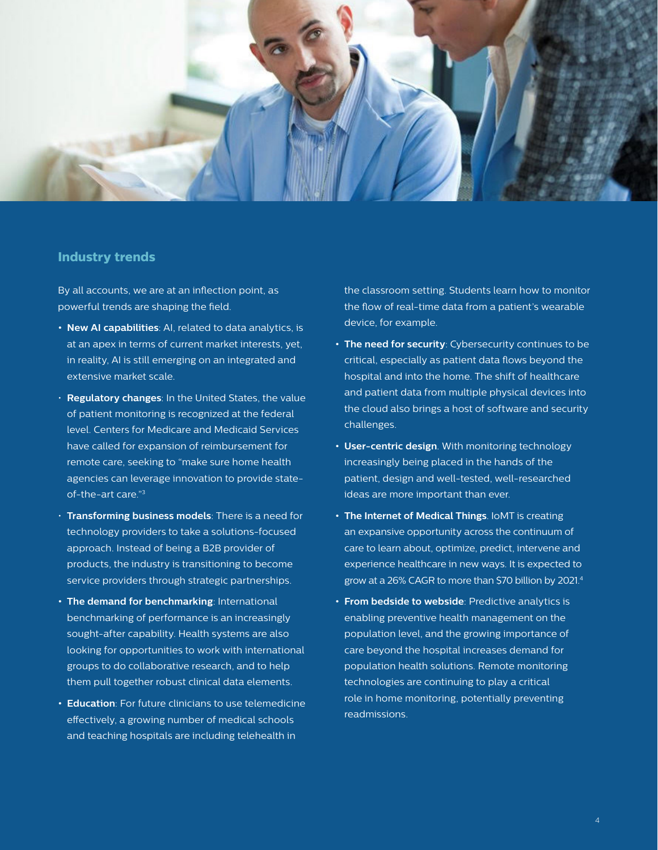

#### **Industry trends**

By all accounts, we are at an inflection point, as powerful trends are shaping the field.

- **• New AI capabilities**: AI, related to data analytics, is at an apex in terms of current market interests, yet, in reality, AI is still emerging on an integrated and extensive market scale.
- **Regulatory changes**: In the United States, the value of patient monitoring is recognized at the federal level. Centers for Medicare and Medicaid Services have called for expansion of reimbursement for remote care, seeking to "make sure home health agencies can leverage innovation to provide stateof-the-art care."3
- **Transforming business models**: There is a need for technology providers to take a solutions-focused approach. Instead of being a B2B provider of products, the industry is transitioning to become service providers through strategic partnerships.
- **• The demand for benchmarking**: International benchmarking of performance is an increasingly sought-after capability. Health systems are also looking for opportunities to work with international groups to do collaborative research, and to help them pull together robust clinical data elements.
- **• Education**: For future clinicians to use telemedicine effectively, a growing number of medical schools and teaching hospitals are including telehealth in

the classroom setting. Students learn how to monitor the flow of real-time data from a patient's wearable device, for example.

- **• The need for security**: Cybersecurity continues to be critical, especially as patient data flows beyond the hospital and into the home. The shift of healthcare and patient data from multiple physical devices into the cloud also brings a host of software and security challenges.
- **• User-centric design**. With monitoring technology increasingly being placed in the hands of the patient, design and well-tested, well-researched ideas are more important than ever.
- **• The Internet of Medical Things**. IoMT is creating an expansive opportunity across the continuum of care to learn about, optimize, predict, intervene and experience healthcare in new ways. It is expected to grow at a 26% CAGR to more than \$70 billion by 2021.4
- **• From bedside to webside**: Predictive analytics is enabling preventive health management on the population level, and the growing importance of care beyond the hospital increases demand for population health solutions. Remote monitoring technologies are continuing to play a critical role in home monitoring, potentially preventing readmissions.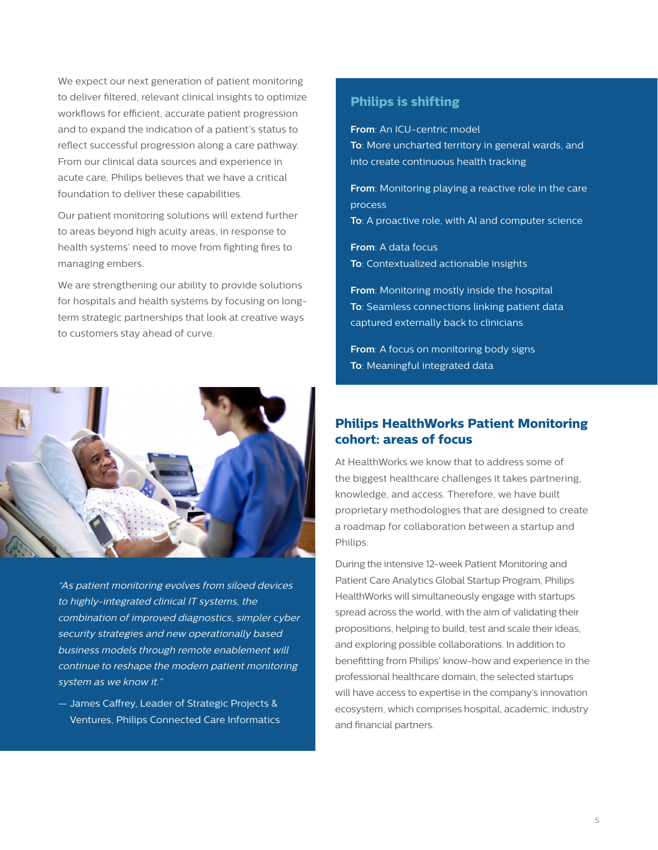We expect our next generation of patient monitoring to deliver filtered, relevant clinical insights to optimize workflows for efficient, accurate patient progression and to expand the indication of a patient's status to reflect successful progression along a care pathway. From our clinical data sources and experience in acute care, Philips believes that we have a critical foundation to deliver these capabilities.

Our patient monitoring solutions will extend further to areas beyond high acuity areas, in response to health systems' need to move from fighting fires to managing embers.

We are strengthening our ability to provide solutions for hospitals and health systems by focusing on longterm strategic partnerships that look at creative ways to customers stay ahead of curve.



"As patient monitoring evolves from siloed devices to highly-integrated clinical IT systems, the combination of improved diagnostics, simpler cyber security strategies and new operationally based business models through remote enablement will continue to reshape the modern patient monitoring system as we know it."

— James Caffrey, Leader of Strategic Projects & Ventures, Philips Connected Care Informatics

# **Philips is shifting**

**From**: An ICU-centric model **To**: More uncharted territory in general wards, and into create continuous health tracking

**From**: Monitoring playing a reactive role in the care process

**To**: A proactive role, with AI and computer science

**From**: A data focus **To**: Contextualized actionable insights

**From**: Monitoring mostly inside the hospital **To**: Seamless connections linking patient data captured externally back to clinicians

**From**: A focus on monitoring body signs **To**: Meaningful integrated data

# **Philips HealthWorks Patient Monitoring cohort: areas of focus**

At HealthWorks we know that to address some of the biggest healthcare challenges it takes partnering, knowledge, and access. Therefore, we have built proprietary methodologies that are designed to create a roadmap for collaboration between a startup and Philips.

During the intensive 12-week Patient Monitoring and Patient Care Analytics Global Startup Program, Philips HealthWorks will simultaneously engage with startups spread across the world, with the aim of validating their propositions, helping to build, test and scale their ideas, and exploring possible collaborations. In addition to benefitting from Philips' know-how and experience in the professional healthcare domain, the selected startups will have access to expertise in the company's innovation ecosystem, which comprises hospital, academic, industry and financial partners.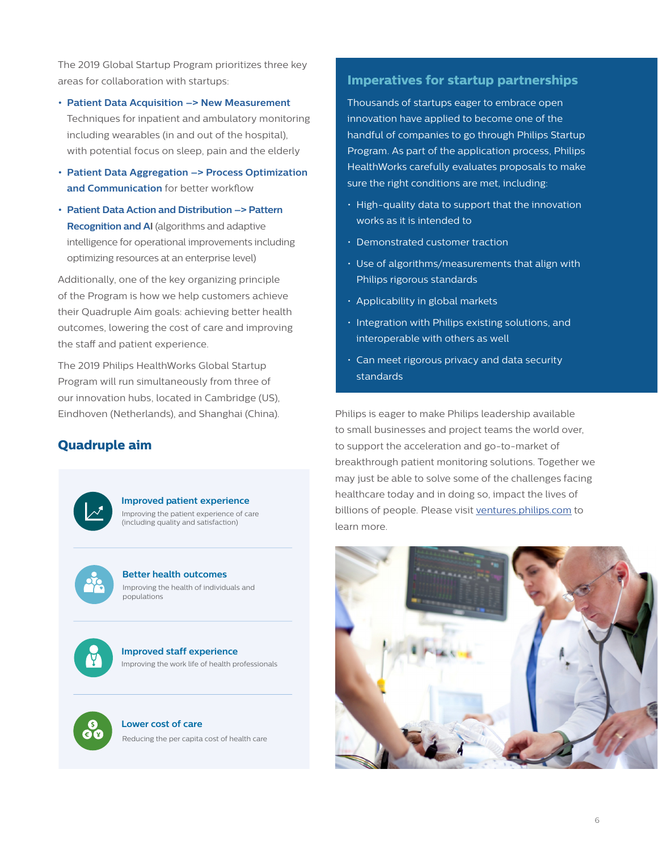The 2019 Global Startup Program prioritizes three key areas for collaboration with startups:

- **• Patient Data Acquisition –> New Measurement** Techniques for inpatient and ambulatory monitoring including wearables (in and out of the hospital), with potential focus on sleep, pain and the elderly
- **• Patient Data Aggregation –> Process Optimization and Communication** for better workflow
- **• Patient Data Action and Distribution –> Pattern Recognition and AI** (algorithms and adaptive intelligence for operational improvements including optimizing resources at an enterprise level)

Additionally, one of the key organizing principle of the Program is how we help customers achieve their Quadruple Aim goals: achieving better health outcomes, lowering the cost of care and improving the staff and patient experience.

The 2019 Philips HealthWorks Global Startup Program will run simultaneously from three of our innovation hubs, located in Cambridge (US), Eindhoven (Netherlands), and Shanghai (China).

# **Quadruple aim**



#### **Improved patient experience**

Improving the patient experience of care (including quality and satisfaction)



#### **Better health outcomes** Improving the health of individuals and populations



**Improved staff experience** Improving the work life of health professionals



**Lower cost of care**  Reducing the per capita cost of health care

## **Imperatives for startup partnerships**

Thousands of startups eager to embrace open innovation have applied to become one of the handful of companies to go through Philips Startup Program. As part of the application process, Philips HealthWorks carefully evaluates proposals to make sure the right conditions are met, including:

- High-quality data to support that the innovation works as it is intended to
- Demonstrated customer traction
- Use of algorithms/measurements that align with Philips rigorous standards
- Applicability in global markets
- Integration with Philips existing solutions, and interoperable with others as well
- Can meet rigorous privacy and data security standards

Philips is eager to make Philips leadership available to small businesses and project teams the world over, to support the acceleration and go-to-market of breakthrough patient monitoring solutions. Together we may just be able to solve some of the challenges facing healthcare today and in doing so, impact the lives of billions of people. Please visit [ventures.philips.com](http://ventures.philips.com) to learn more.